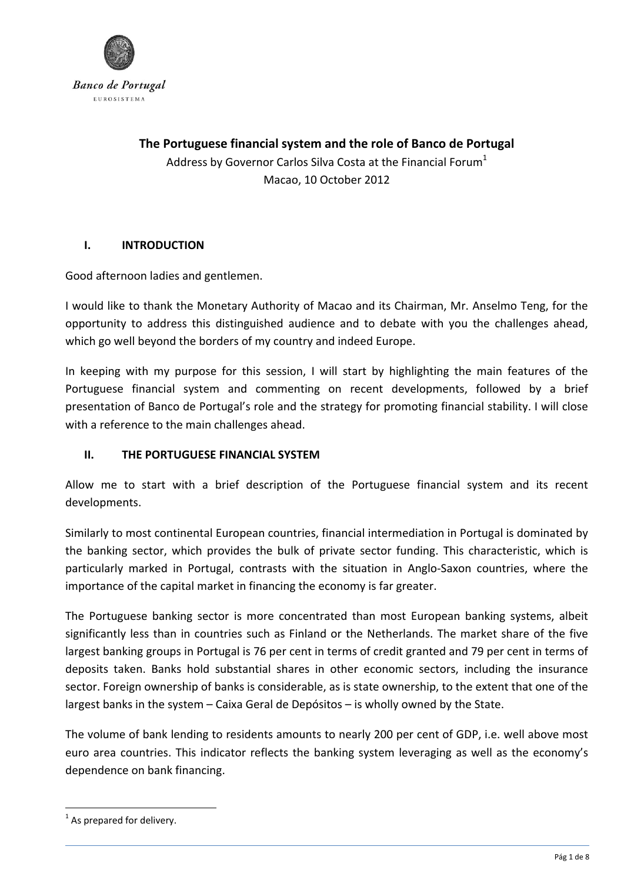

**The Portuguese financial system and the role of Banco de Portugal** Address by Governor Carlos Silva Costa at the Financial Forum $^1$ Macao, 10 October 2012

### **I. INTRODUCTION**

Good afternoon ladies and gentlemen.

I would like to thank the Monetary Authority of Macao and its Chairman, Mr. Anselmo Teng, for the opportunity to address this distinguished audience and to debate with you the challenges ahead, which go well beyond the borders of my country and indeed Europe.

In keeping with my purpose for this session, I will start by highlighting the main features of the Portuguese financial system and commenting on recent developments, followed by a brief presentation of Banco de Portugal's role and the strategy for promoting financial stability. I will close with a reference to the main challenges ahead.

### **II. THE PORTUGUESE FINANCIAL SYSTEM**

Allow me to start with a brief description of the Portuguese financial system and its recent developments.

Similarly to most continental European countries, financial intermediation in Portugal is dominated by the banking sector, which provides the bulk of private sector funding. This characteristic, which is particularly marked in Portugal, contrasts with the situation in Anglo-Saxon countries, where the importance of the capital market in financing the economy is far greater.

The Portuguese banking sector is more concentrated than most European banking systems, albeit significantly less than in countries such as Finland or the Netherlands. The market share of the five largest banking groups in Portugal is 76 per cent in terms of credit granted and 79 per cent in terms of deposits taken. Banks hold substantial shares in other economic sectors, including the insurance sector. Foreign ownership of banks is considerable, as is state ownership, to the extent that one of the largest banks in the system – Caixa Geral de Depósitos – is wholly owned by the State.

The volume of bank lending to residents amounts to nearly 200 per cent of GDP, i.e. well above most euro area countries. This indicator reflects the banking system leveraging as well as the economy's dependence on bank financing.

 $1$  As prepared for delivery.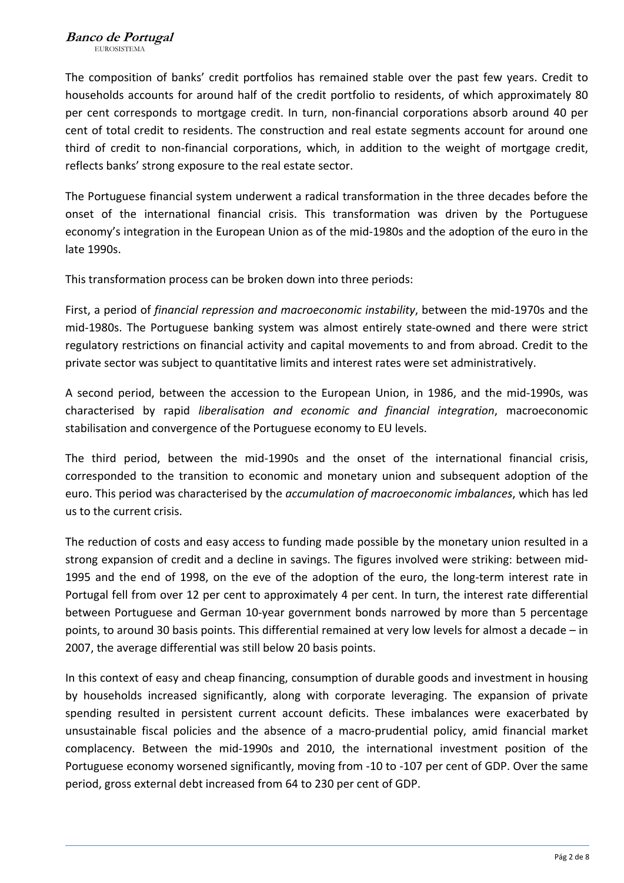The composition of banks' credit portfolios has remained stable over the past few years. Credit to households accounts for around half of the credit portfolio to residents, of which approximately 80 per cent corresponds to mortgage credit. In turn, non-financial corporations absorb around 40 per cent of total credit to residents. The construction and real estate segments account for around one third of credit to non-financial corporations, which, in addition to the weight of mortgage credit, reflects banks' strong exposure to the real estate sector.

The Portuguese financial system underwent a radical transformation in the three decades before the onset of the international financial crisis. This transformation was driven by the Portuguese economy's integration in the European Union as of the mid‐1980s and the adoption of the euro in the late 1990s.

This transformation process can be broken down into three periods:

First, a period of *financial repression and macroeconomic instability*, between the mid‐1970s and the mid‐1980s. The Portuguese banking system was almost entirely state‐owned and there were strict regulatory restrictions on financial activity and capital movements to and from abroad. Credit to the private sector was subject to quantitative limits and interest rates were set administratively.

A second period, between the accession to the European Union, in 1986, and the mid‐1990s, was characterised by rapid *liberalisation and economic and financial integration*, macroeconomic stabilisation and convergence of the Portuguese economy to EU levels.

The third period, between the mid‐1990s and the onset of the international financial crisis, corresponded to the transition to economic and monetary union and subsequent adoption of the euro. This period was characterised by the *accumulation of macroeconomic imbalances*, which has led us to the current crisis.

The reduction of costs and easy access to funding made possible by the monetary union resulted in a strong expansion of credit and a decline in savings. The figures involved were striking: between mid‐ 1995 and the end of 1998, on the eve of the adoption of the euro, the long-term interest rate in Portugal fell from over 12 per cent to approximately 4 per cent. In turn, the interest rate differential between Portuguese and German 10‐year government bonds narrowed by more than 5 percentage points, to around 30 basis points. This differential remained at very low levels for almost a decade – in 2007, the average differential was still below 20 basis points.

In this context of easy and cheap financing, consumption of durable goods and investment in housing by households increased significantly, along with corporate leveraging. The expansion of private spending resulted in persistent current account deficits. These imbalances were exacerbated by unsustainable fiscal policies and the absence of a macro‐prudential policy, amid financial market complacency. Between the mid‐1990s and 2010, the international investment position of the Portuguese economy worsened significantly, moving from ‐10 to ‐107 per cent of GDP. Over the same period, gross external debt increased from 64 to 230 per cent of GDP.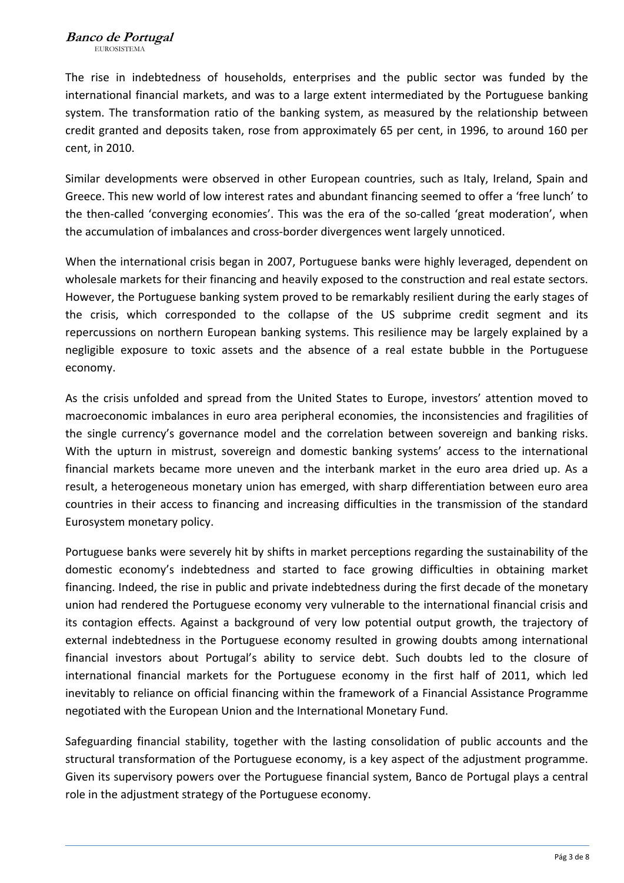The rise in indebtedness of households, enterprises and the public sector was funded by the international financial markets, and was to a large extent intermediated by the Portuguese banking system. The transformation ratio of the banking system, as measured by the relationship between credit granted and deposits taken, rose from approximately 65 per cent, in 1996, to around 160 per cent, in 2010.

Similar developments were observed in other European countries, such as Italy, Ireland, Spain and Greece. This new world of low interest rates and abundant financing seemed to offer a 'free lunch' to the then-called 'converging economies'. This was the era of the so-called 'great moderation', when the accumulation of imbalances and cross‐border divergences went largely unnoticed.

When the international crisis began in 2007, Portuguese banks were highly leveraged, dependent on wholesale markets for their financing and heavily exposed to the construction and real estate sectors. However, the Portuguese banking system proved to be remarkably resilient during the early stages of the crisis, which corresponded to the collapse of the US subprime credit segment and its repercussions on northern European banking systems. This resilience may be largely explained by a negligible exposure to toxic assets and the absence of a real estate bubble in the Portuguese economy.

As the crisis unfolded and spread from the United States to Europe, investors' attention moved to macroeconomic imbalances in euro area peripheral economies, the inconsistencies and fragilities of the single currency's governance model and the correlation between sovereign and banking risks. With the upturn in mistrust, sovereign and domestic banking systems' access to the international financial markets became more uneven and the interbank market in the euro area dried up. As a result, a heterogeneous monetary union has emerged, with sharp differentiation between euro area countries in their access to financing and increasing difficulties in the transmission of the standard Eurosystem monetary policy.

Portuguese banks were severely hit by shifts in market perceptions regarding the sustainability of the domestic economy's indebtedness and started to face growing difficulties in obtaining market financing. Indeed, the rise in public and private indebtedness during the first decade of the monetary union had rendered the Portuguese economy very vulnerable to the international financial crisis and its contagion effects. Against a background of very low potential output growth, the trajectory of external indebtedness in the Portuguese economy resulted in growing doubts among international financial investors about Portugal's ability to service debt. Such doubts led to the closure of international financial markets for the Portuguese economy in the first half of 2011, which led inevitably to reliance on official financing within the framework of a Financial Assistance Programme negotiated with the European Union and the International Monetary Fund.

Safeguarding financial stability, together with the lasting consolidation of public accounts and the structural transformation of the Portuguese economy, is a key aspect of the adjustment programme. Given its supervisory powers over the Portuguese financial system, Banco de Portugal plays a central role in the adjustment strategy of the Portuguese economy.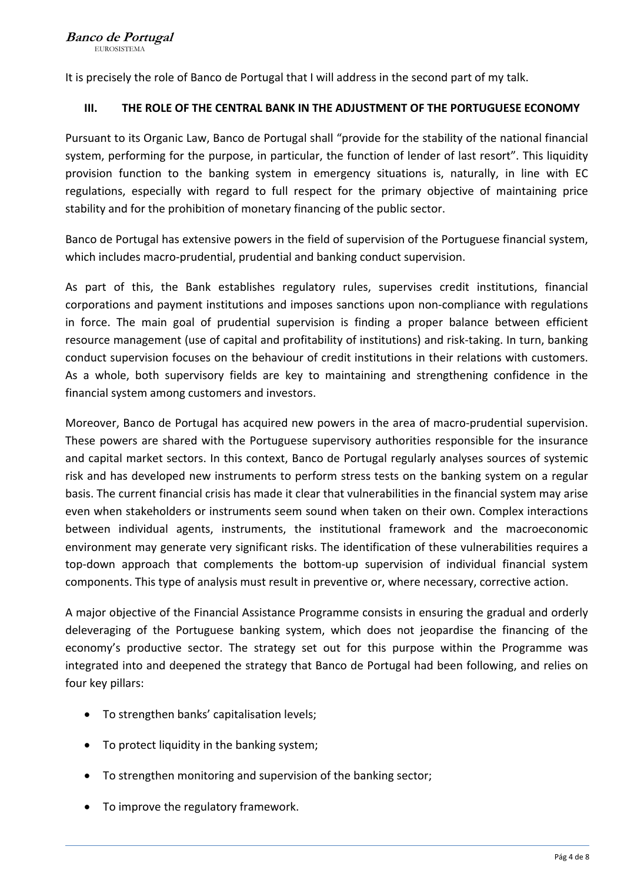It is precisely the role of Banco de Portugal that I will address in the second part of my talk.

### **III. THE ROLE OF THE CENTRAL BANK IN THE ADJUSTMENT OF THE PORTUGUESE ECONOMY**

Pursuant to its Organic Law, Banco de Portugal shall "provide for the stability of the national financial system, performing for the purpose, in particular, the function of lender of last resort". This liquidity provision function to the banking system in emergency situations is, naturally, in line with EC regulations, especially with regard to full respect for the primary objective of maintaining price stability and for the prohibition of monetary financing of the public sector.

Banco de Portugal has extensive powers in the field of supervision of the Portuguese financial system, which includes macro‐prudential, prudential and banking conduct supervision.

As part of this, the Bank establishes regulatory rules, supervises credit institutions, financial corporations and payment institutions and imposes sanctions upon non‐compliance with regulations in force. The main goal of prudential supervision is finding a proper balance between efficient resource management (use of capital and profitability of institutions) and risk-taking. In turn, banking conduct supervision focuses on the behaviour of credit institutions in their relations with customers. As a whole, both supervisory fields are key to maintaining and strengthening confidence in the financial system among customers and investors.

Moreover, Banco de Portugal has acquired new powers in the area of macro‐prudential supervision. These powers are shared with the Portuguese supervisory authorities responsible for the insurance and capital market sectors. In this context, Banco de Portugal regularly analyses sources of systemic risk and has developed new instruments to perform stress tests on the banking system on a regular basis. The current financial crisis has made it clear that vulnerabilities in the financial system may arise even when stakeholders or instruments seem sound when taken on their own. Complex interactions between individual agents, instruments, the institutional framework and the macroeconomic environment may generate very significant risks. The identification of these vulnerabilities requires a top-down approach that complements the bottom-up supervision of individual financial system components. This type of analysis must result in preventive or, where necessary, corrective action.

A major objective of the Financial Assistance Programme consists in ensuring the gradual and orderly deleveraging of the Portuguese banking system, which does not jeopardise the financing of the economy's productive sector. The strategy set out for this purpose within the Programme was integrated into and deepened the strategy that Banco de Portugal had been following, and relies on four key pillars:

- To strengthen banks' capitalisation levels;
- To protect liquidity in the banking system;
- To strengthen monitoring and supervision of the banking sector;
- To improve the regulatory framework.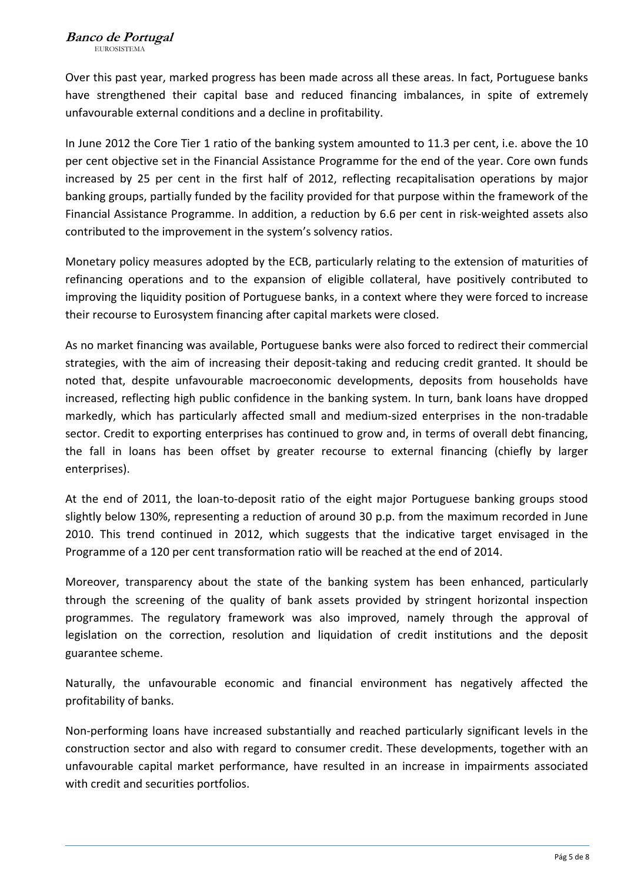Over this past year, marked progress has been made across all these areas. In fact, Portuguese banks have strengthened their capital base and reduced financing imbalances, in spite of extremely unfavourable external conditions and a decline in profitability.

In June 2012 the Core Tier 1 ratio of the banking system amounted to 11.3 per cent, i.e. above the 10 per cent objective set in the Financial Assistance Programme for the end of the year. Core own funds increased by 25 per cent in the first half of 2012, reflecting recapitalisation operations by major banking groups, partially funded by the facility provided for that purpose within the framework of the Financial Assistance Programme. In addition, a reduction by 6.6 per cent in risk‐weighted assets also contributed to the improvement in the system's solvency ratios.

Monetary policy measures adopted by the ECB, particularly relating to the extension of maturities of refinancing operations and to the expansion of eligible collateral, have positively contributed to improving the liquidity position of Portuguese banks, in a context where they were forced to increase their recourse to Eurosystem financing after capital markets were closed.

As no market financing was available, Portuguese banks were also forced to redirect their commercial strategies, with the aim of increasing their deposit‐taking and reducing credit granted. It should be noted that, despite unfavourable macroeconomic developments, deposits from households have increased, reflecting high public confidence in the banking system. In turn, bank loans have dropped markedly, which has particularly affected small and medium‐sized enterprises in the non‐tradable sector. Credit to exporting enterprises has continued to grow and, in terms of overall debt financing, the fall in loans has been offset by greater recourse to external financing (chiefly by larger enterprises).

At the end of 2011, the loan‐to‐deposit ratio of the eight major Portuguese banking groups stood slightly below 130%, representing a reduction of around 30 p.p. from the maximum recorded in June 2010. This trend continued in 2012, which suggests that the indicative target envisaged in the Programme of a 120 per cent transformation ratio will be reached at the end of 2014.

Moreover, transparency about the state of the banking system has been enhanced, particularly through the screening of the quality of bank assets provided by stringent horizontal inspection programmes. The regulatory framework was also improved, namely through the approval of legislation on the correction, resolution and liquidation of credit institutions and the deposit guarantee scheme.

Naturally, the unfavourable economic and financial environment has negatively affected the profitability of banks.

Non‐performing loans have increased substantially and reached particularly significant levels in the construction sector and also with regard to consumer credit. These developments, together with an unfavourable capital market performance, have resulted in an increase in impairments associated with credit and securities portfolios.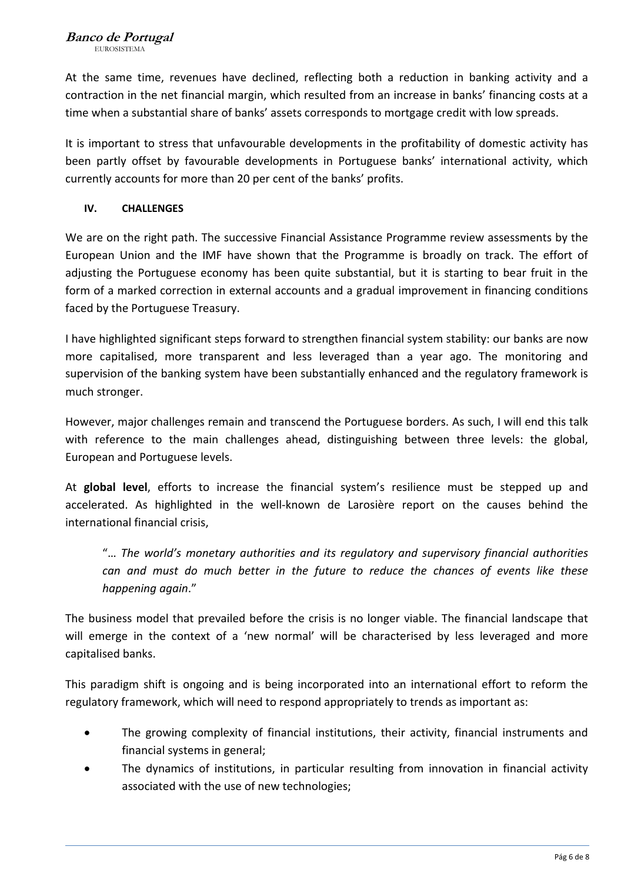At the same time, revenues have declined, reflecting both a reduction in banking activity and a contraction in the net financial margin, which resulted from an increase in banks' financing costs at a time when a substantial share of banks' assets corresponds to mortgage credit with low spreads.

It is important to stress that unfavourable developments in the profitability of domestic activity has been partly offset by favourable developments in Portuguese banks' international activity, which currently accounts for more than 20 per cent of the banks' profits.

## **IV. CHALLENGES**

We are on the right path. The successive Financial Assistance Programme review assessments by the European Union and the IMF have shown that the Programme is broadly on track. The effort of adjusting the Portuguese economy has been quite substantial, but it is starting to bear fruit in the form of a marked correction in external accounts and a gradual improvement in financing conditions faced by the Portuguese Treasury.

I have highlighted significant steps forward to strengthen financial system stability: our banks are now more capitalised, more transparent and less leveraged than a year ago. The monitoring and supervision of the banking system have been substantially enhanced and the regulatory framework is much stronger.

However, major challenges remain and transcend the Portuguese borders. As such, I will end this talk with reference to the main challenges ahead, distinguishing between three levels: the global, European and Portuguese levels.

At **global level**, efforts to increase the financial system's resilience must be stepped up and accelerated. As highlighted in the well-known de Larosière report on the causes behind the international financial crisis,

"… *The world's monetary authorities and its regulatory and supervisory financial authorities can and must do much better in the future to reduce the chances of events like these happening again*."

The business model that prevailed before the crisis is no longer viable. The financial landscape that will emerge in the context of a 'new normal' will be characterised by less leveraged and more capitalised banks.

This paradigm shift is ongoing and is being incorporated into an international effort to reform the regulatory framework, which will need to respond appropriately to trends as important as:

- The growing complexity of financial institutions, their activity, financial instruments and financial systems in general;
- The dynamics of institutions, in particular resulting from innovation in financial activity associated with the use of new technologies;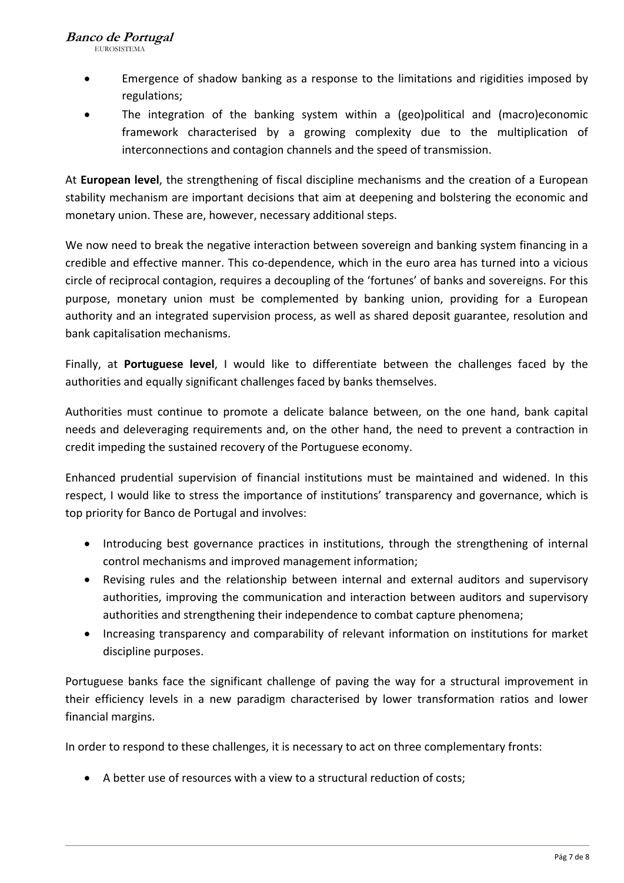EUROSISTEMA

- Emergence of shadow banking as a response to the limitations and rigidities imposed by regulations;
- The integration of the banking system within a (geo)political and (macro)economic framework characterised by a growing complexity due to the multiplication of interconnections and contagion channels and the speed of transmission.

At **European level**, the strengthening of fiscal discipline mechanisms and the creation of a European stability mechanism are important decisions that aim at deepening and bolstering the economic and monetary union. These are, however, necessary additional steps.

We now need to break the negative interaction between sovereign and banking system financing in a credible and effective manner. This co-dependence, which in the euro area has turned into a vicious circle of reciprocal contagion, requires a decoupling of the 'fortunes' of banks and sovereigns. For this purpose, monetary union must be complemented by banking union, providing for a European authority and an integrated supervision process, as well as shared deposit guarantee, resolution and bank capitalisation mechanisms.

Finally, at **Portuguese level**, I would like to differentiate between the challenges faced by the authorities and equally significant challenges faced by banks themselves.

Authorities must continue to promote a delicate balance between, on the one hand, bank capital needs and deleveraging requirements and, on the other hand, the need to prevent a contraction in credit impeding the sustained recovery of the Portuguese economy.

Enhanced prudential supervision of financial institutions must be maintained and widened. In this respect, I would like to stress the importance of institutions' transparency and governance, which is top priority for Banco de Portugal and involves:

- Introducing best governance practices in institutions, through the strengthening of internal control mechanisms and improved management information;
- Revising rules and the relationship between internal and external auditors and supervisory authorities, improving the communication and interaction between auditors and supervisory authorities and strengthening their independence to combat capture phenomena;
- Increasing transparency and comparability of relevant information on institutions for market discipline purposes.

Portuguese banks face the significant challenge of paving the way for a structural improvement in their efficiency levels in a new paradigm characterised by lower transformation ratios and lower financial margins.

In order to respond to these challenges, it is necessary to act on three complementary fronts:

A better use of resources with a view to a structural reduction of costs;